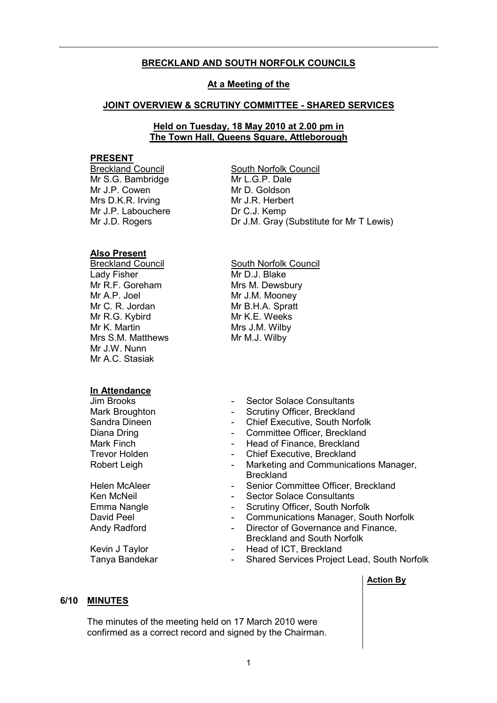## BRECKLAND AND SOUTH NORFOLK COUNCILS

#### At a Meeting of the

#### JOINT OVERVIEW & SCRUTINY COMMITTEE - SHARED SERVICES

## Held on Tuesday, 18 May 2010 at 2.00 pm in The Town Hall, Queens Square, Attleborough

## **PRESENT**

Mr S.G. Bambridge Mr J.P. Cowen Mrs D.K.R. Irving Mr J.P. Labouchere Mr J.D. Rogers

## Also Present

Lady Fisher Mr R.F. Goreham Mr A.P. Joel Mr C. R. Jordan Mr R.G. Kybird Mr K. Martin Mrs S.M. Matthews Mr J.W. Nunn Mr A.C. Stasiak

# In Attendance

Breckland Council South Norfolk Council Mr L.G.P. Dale Mr D. Goldson Mr J.R. Herbert Dr C.J. Kemp Dr J.M. Gray (Substitute for Mr T Lewis)

Breckland Council South Norfolk Council Mr D.J. Blake Mrs M. Dewsbury Mr J.M. Mooney Mr B.H.A. Spratt Mr K.F. Weeks Mrs J.M. Wilby Mr M.J. Wilby

- Jim Brooks Sector Solace Consultants
- Mark Broughton  **Scrutiny Officer, Breckland**
- Sandra Dineen Chief Executive, South Norfolk
- Diana Dring **Committee Officer, Breckland Diana Dring 2018**
- Mark Finch **Mark Finance**, Breckland
- Trevor Holden Chief Executive, Breckland
- Robert Leigh  **Marketing and Communications Manager, Breckland**
- Helen McAleer  **Senior Committee Officer, Breckland**
- Ken McNeil **Example 20** Sector Solace Consultants
- Emma Nangle **Emma Nangle 1986** Scrutiny Officer, South Norfolk
- David Peel **Communications Manager, South Norfolk**
- Andy Radford **Contract Contract Contract Andy Radford** Contract Contract Contract Contract Contract Contract Contract Contract Contract Contract Contract Contract Contract Contract Contract Contract Contract Contract Contr Breckland and South Norfolk
- Kevin J Taylor  **Head of ICT**, Breckland
- Tanya Bandekar  **Shared Services Project Lead, South Norfolk**

## Action By

#### 6/10 MINUTES

 The minutes of the meeting held on 17 March 2010 were confirmed as a correct record and signed by the Chairman.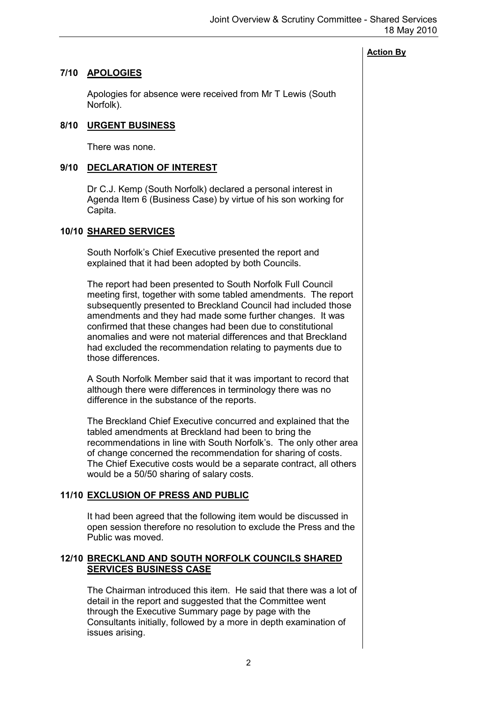# 7/10 APOLOGIES

 Apologies for absence were received from Mr T Lewis (South Norfolk).

## 8/10 URGENT BUSINESS

There was none.

# 9/10 DECLARATION OF INTEREST

 Dr C.J. Kemp (South Norfolk) declared a personal interest in Agenda Item 6 (Business Case) by virtue of his son working for Capita.

## 10/10 SHARED SERVICES

 South Norfolk's Chief Executive presented the report and explained that it had been adopted by both Councils.

The report had been presented to South Norfolk Full Council meeting first, together with some tabled amendments. The report subsequently presented to Breckland Council had included those amendments and they had made some further changes. It was confirmed that these changes had been due to constitutional anomalies and were not material differences and that Breckland had excluded the recommendation relating to payments due to those differences.

A South Norfolk Member said that it was important to record that although there were differences in terminology there was no difference in the substance of the reports.

The Breckland Chief Executive concurred and explained that the tabled amendments at Breckland had been to bring the recommendations in line with South Norfolk's. The only other area of change concerned the recommendation for sharing of costs. The Chief Executive costs would be a separate contract, all others would be a 50/50 sharing of salary costs.

# 11/10 EXCLUSION OF PRESS AND PUBLIC

 It had been agreed that the following item would be discussed in open session therefore no resolution to exclude the Press and the Public was moved.

# 12/10 BRECKLAND AND SOUTH NORFOLK COUNCILS SHARED SERVICES BUSINESS CASE

 The Chairman introduced this item. He said that there was a lot of detail in the report and suggested that the Committee went through the Executive Summary page by page with the Consultants initially, followed by a more in depth examination of issues arising.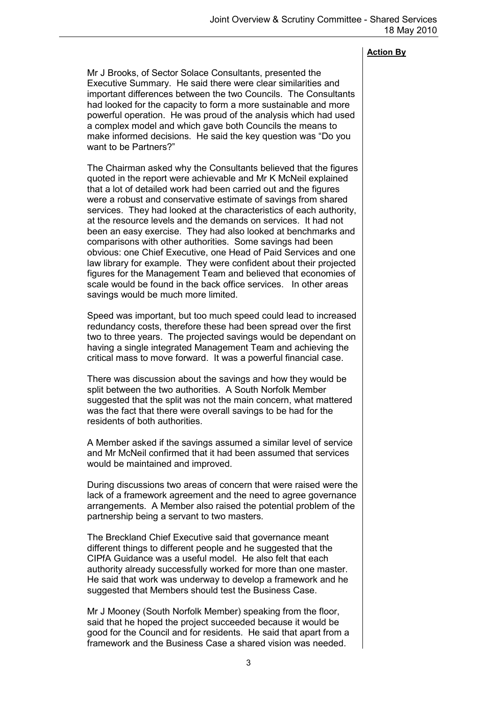Mr J Brooks, of Sector Solace Consultants, presented the Executive Summary. He said there were clear similarities and important differences between the two Councils. The Consultants had looked for the capacity to form a more sustainable and more powerful operation. He was proud of the analysis which had used a complex model and which gave both Councils the means to make informed decisions. He said the key question was "Do you want to be Partners?"

The Chairman asked why the Consultants believed that the figures quoted in the report were achievable and Mr K McNeil explained that a lot of detailed work had been carried out and the figures were a robust and conservative estimate of savings from shared services. They had looked at the characteristics of each authority, at the resource levels and the demands on services. It had not been an easy exercise. They had also looked at benchmarks and comparisons with other authorities. Some savings had been obvious: one Chief Executive, one Head of Paid Services and one law library for example. They were confident about their projected figures for the Management Team and believed that economies of scale would be found in the back office services. In other areas savings would be much more limited.

Speed was important, but too much speed could lead to increased redundancy costs, therefore these had been spread over the first two to three years. The projected savings would be dependant on having a single integrated Management Team and achieving the critical mass to move forward. It was a powerful financial case.

There was discussion about the savings and how they would be split between the two authorities. A South Norfolk Member suggested that the split was not the main concern, what mattered was the fact that there were overall savings to be had for the residents of both authorities.

A Member asked if the savings assumed a similar level of service and Mr McNeil confirmed that it had been assumed that services would be maintained and improved.

During discussions two areas of concern that were raised were the lack of a framework agreement and the need to agree governance arrangements. A Member also raised the potential problem of the partnership being a servant to two masters.

The Breckland Chief Executive said that governance meant different things to different people and he suggested that the CIPfA Guidance was a useful model. He also felt that each authority already successfully worked for more than one master. He said that work was underway to develop a framework and he suggested that Members should test the Business Case.

Mr J Mooney (South Norfolk Member) speaking from the floor, said that he hoped the project succeeded because it would be good for the Council and for residents. He said that apart from a framework and the Business Case a shared vision was needed.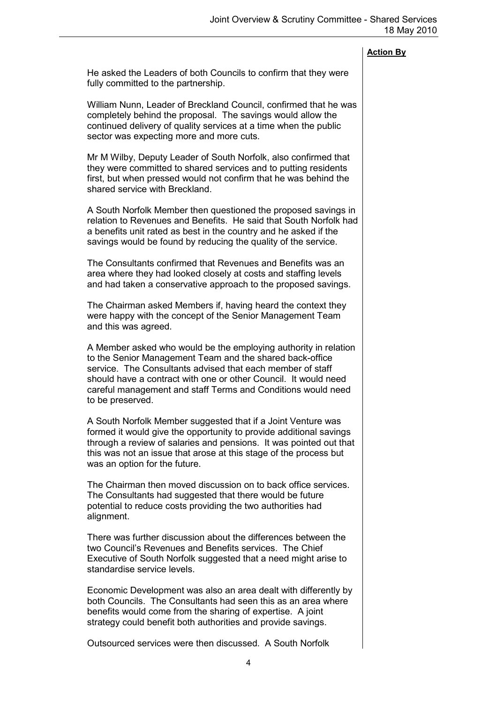He asked the Leaders of both Councils to confirm that they were fully committed to the partnership.

William Nunn, Leader of Breckland Council, confirmed that he was completely behind the proposal. The savings would allow the continued delivery of quality services at a time when the public sector was expecting more and more cuts.

Mr M Wilby, Deputy Leader of South Norfolk, also confirmed that they were committed to shared services and to putting residents first, but when pressed would not confirm that he was behind the shared service with Breckland.

A South Norfolk Member then questioned the proposed savings in relation to Revenues and Benefits. He said that South Norfolk had a benefits unit rated as best in the country and he asked if the savings would be found by reducing the quality of the service.

The Consultants confirmed that Revenues and Benefits was an area where they had looked closely at costs and staffing levels and had taken a conservative approach to the proposed savings.

The Chairman asked Members if, having heard the context they were happy with the concept of the Senior Management Team and this was agreed.

A Member asked who would be the employing authority in relation to the Senior Management Team and the shared back-office service. The Consultants advised that each member of staff should have a contract with one or other Council. It would need careful management and staff Terms and Conditions would need to be preserved.

A South Norfolk Member suggested that if a Joint Venture was formed it would give the opportunity to provide additional savings through a review of salaries and pensions. It was pointed out that this was not an issue that arose at this stage of the process but was an option for the future.

The Chairman then moved discussion on to back office services. The Consultants had suggested that there would be future potential to reduce costs providing the two authorities had alignment.

There was further discussion about the differences between the two Council's Revenues and Benefits services. The Chief Executive of South Norfolk suggested that a need might arise to standardise service levels.

Economic Development was also an area dealt with differently by both Councils. The Consultants had seen this as an area where benefits would come from the sharing of expertise. A joint strategy could benefit both authorities and provide savings.

Outsourced services were then discussed. A South Norfolk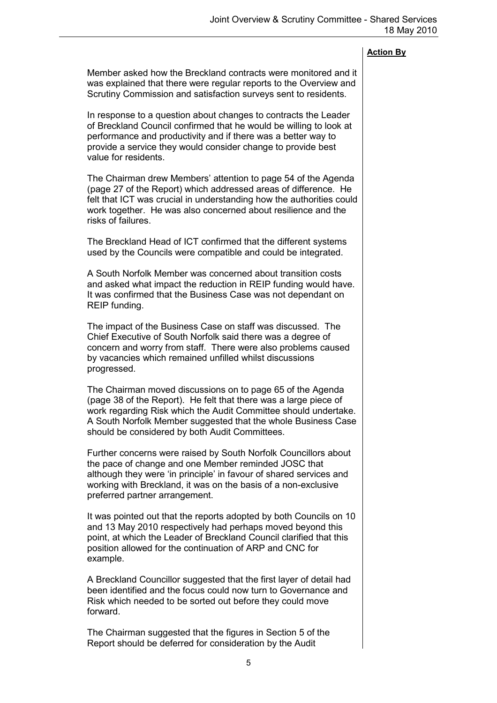Member asked how the Breckland contracts were monitored and it was explained that there were regular reports to the Overview and Scrutiny Commission and satisfaction surveys sent to residents. In response to a question about changes to contracts the Leader of Breckland Council confirmed that he would be willing to look at performance and productivity and if there was a better way to provide a service they would consider change to provide best value for residents. The Chairman drew Members' attention to page 54 of the Agenda (page 27 of the Report) which addressed areas of difference. He felt that ICT was crucial in understanding how the authorities could work together. He was also concerned about resilience and the risks of failures.

The Breckland Head of ICT confirmed that the different systems used by the Councils were compatible and could be integrated.

A South Norfolk Member was concerned about transition costs and asked what impact the reduction in REIP funding would have. It was confirmed that the Business Case was not dependant on REIP funding.

The impact of the Business Case on staff was discussed. The Chief Executive of South Norfolk said there was a degree of concern and worry from staff. There were also problems caused by vacancies which remained unfilled whilst discussions progressed.

The Chairman moved discussions on to page 65 of the Agenda (page 38 of the Report). He felt that there was a large piece of work regarding Risk which the Audit Committee should undertake. A South Norfolk Member suggested that the whole Business Case should be considered by both Audit Committees.

Further concerns were raised by South Norfolk Councillors about the pace of change and one Member reminded JOSC that although they were 'in principle' in favour of shared services and working with Breckland, it was on the basis of a non-exclusive preferred partner arrangement.

It was pointed out that the reports adopted by both Councils on 10 and 13 May 2010 respectively had perhaps moved beyond this point, at which the Leader of Breckland Council clarified that this position allowed for the continuation of ARP and CNC for example.

A Breckland Councillor suggested that the first layer of detail had been identified and the focus could now turn to Governance and Risk which needed to be sorted out before they could move forward.

The Chairman suggested that the figures in Section 5 of the Report should be deferred for consideration by the Audit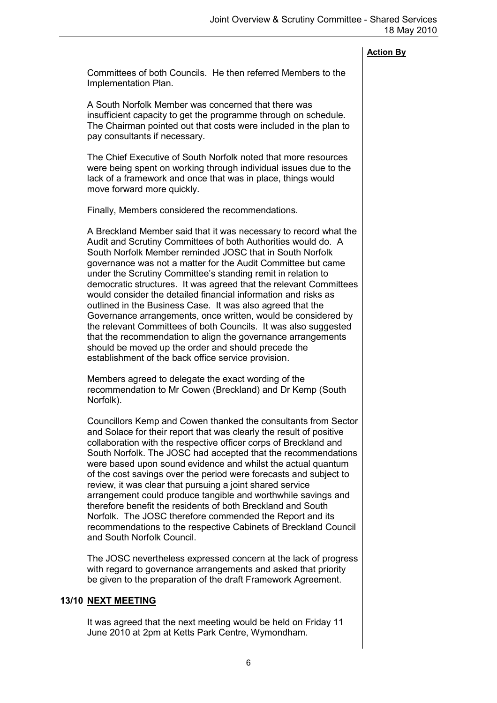Committees of both Councils. He then referred Members to the Implementation Plan.

A South Norfolk Member was concerned that there was insufficient capacity to get the programme through on schedule. The Chairman pointed out that costs were included in the plan to pay consultants if necessary.

The Chief Executive of South Norfolk noted that more resources were being spent on working through individual issues due to the lack of a framework and once that was in place, things would move forward more quickly.

Finally, Members considered the recommendations.

A Breckland Member said that it was necessary to record what the Audit and Scrutiny Committees of both Authorities would do. A South Norfolk Member reminded JOSC that in South Norfolk governance was not a matter for the Audit Committee but came under the Scrutiny Committee's standing remit in relation to democratic structures. It was agreed that the relevant Committees would consider the detailed financial information and risks as outlined in the Business Case. It was also agreed that the Governance arrangements, once written, would be considered by the relevant Committees of both Councils. It was also suggested that the recommendation to align the governance arrangements should be moved up the order and should precede the establishment of the back office service provision.

Members agreed to delegate the exact wording of the recommendation to Mr Cowen (Breckland) and Dr Kemp (South Norfolk).

Councillors Kemp and Cowen thanked the consultants from Sector and Solace for their report that was clearly the result of positive collaboration with the respective officer corps of Breckland and South Norfolk. The JOSC had accepted that the recommendations were based upon sound evidence and whilst the actual quantum of the cost savings over the period were forecasts and subject to review, it was clear that pursuing a joint shared service arrangement could produce tangible and worthwhile savings and therefore benefit the residents of both Breckland and South Norfolk. The JOSC therefore commended the Report and its recommendations to the respective Cabinets of Breckland Council and South Norfolk Council.

The JOSC nevertheless expressed concern at the lack of progress with regard to governance arrangements and asked that priority be given to the preparation of the draft Framework Agreement.

## 13/10 NEXT MEETING

 It was agreed that the next meeting would be held on Friday 11 June 2010 at 2pm at Ketts Park Centre, Wymondham.